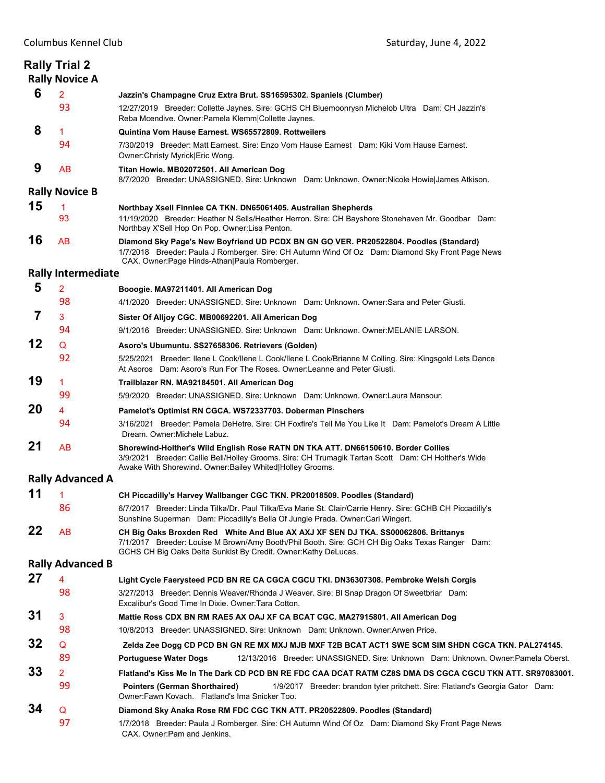|                           | <b>Rally Trial 2</b><br><b>Rally Novice A</b> |                                                                                                                                                                                                                                                         |  |  |  |
|---------------------------|-----------------------------------------------|---------------------------------------------------------------------------------------------------------------------------------------------------------------------------------------------------------------------------------------------------------|--|--|--|
| 6                         | $\overline{2}$                                | Jazzin's Champagne Cruz Extra Brut. SS16595302. Spaniels (Clumber)                                                                                                                                                                                      |  |  |  |
|                           | 93                                            | 12/27/2019 Breeder: Collette Jaynes. Sire: GCHS CH Bluemoonrysn Michelob Ultra Dam: CH Jazzin's<br>Reba Mcendive. Owner: Pamela Klemm Collette Jaynes.                                                                                                  |  |  |  |
| 8                         | $\mathbf{1}$                                  | Quintina Vom Hause Earnest. WS65572809. Rottweilers                                                                                                                                                                                                     |  |  |  |
|                           | 94                                            | 7/30/2019 Breeder: Matt Earnest. Sire: Enzo Vom Hause Earnest Dam: Kiki Vom Hause Earnest.<br>Owner: Christy Myrick   Eric Wong.                                                                                                                        |  |  |  |
| 9                         | <b>AB</b>                                     | Titan Howie. MB02072501. All American Dog<br>8/7/2020 Breeder: UNASSIGNED. Sire: Unknown Dam: Unknown. Owner: Nicole Howie James Atkison.                                                                                                               |  |  |  |
| <b>Rally Novice B</b>     |                                               |                                                                                                                                                                                                                                                         |  |  |  |
| 15                        | $\mathbf{1}$                                  | Northbay Xsell Finnlee CA TKN. DN65061405. Australian Shepherds                                                                                                                                                                                         |  |  |  |
|                           | 93                                            | 11/19/2020 Breeder: Heather N Sells/Heather Herron. Sire: CH Bayshore Stonehaven Mr. Goodbar Dam:<br>Northbay X'Sell Hop On Pop. Owner:Lisa Penton.                                                                                                     |  |  |  |
| 16                        | AB                                            | Diamond Sky Page's New Boyfriend UD PCDX BN GN GO VER. PR20522804. Poodles (Standard)<br>1/7/2018 Breeder: Paula J Romberger. Sire: CH Autumn Wind Of Oz Dam: Diamond Sky Front Page News<br>CAX. Owner: Page Hinds-Athan Paula Romberger.              |  |  |  |
| <b>Rally Intermediate</b> |                                               |                                                                                                                                                                                                                                                         |  |  |  |
| 5                         | $\overline{2}$                                | Booogie. MA97211401. All American Dog                                                                                                                                                                                                                   |  |  |  |
|                           | 98                                            | 4/1/2020 Breeder: UNASSIGNED. Sire: Unknown Dam: Unknown. Owner: Sara and Peter Giusti.                                                                                                                                                                 |  |  |  |
| 7                         | 3                                             | Sister Of Alljoy CGC. MB00692201. All American Dog                                                                                                                                                                                                      |  |  |  |
|                           | 94                                            | 9/1/2016 Breeder: UNASSIGNED. Sire: Unknown Dam: Unknown. Owner:MELANIE LARSON.                                                                                                                                                                         |  |  |  |
| 12                        | Q                                             | Asoro's Ubumuntu. SS27658306. Retrievers (Golden)                                                                                                                                                                                                       |  |  |  |
|                           | 92                                            | 5/25/2021 Breeder: Ilene L Cook/Ilene L Cook/Ilene L Cook/Brianne M Colling. Sire: Kingsgold Lets Dance<br>At Asoros Dam: Asoro's Run For The Roses. Owner: Leanne and Peter Giusti.                                                                    |  |  |  |
| 19                        | $\mathbf{1}$                                  | Trailblazer RN. MA92184501. All American Dog                                                                                                                                                                                                            |  |  |  |
|                           | 99                                            | 5/9/2020 Breeder: UNASSIGNED. Sire: Unknown Dam: Unknown. Owner:Laura Mansour.                                                                                                                                                                          |  |  |  |
| 20                        | 4                                             | Pamelot's Optimist RN CGCA. WS72337703. Doberman Pinschers                                                                                                                                                                                              |  |  |  |
|                           | 94                                            | 3/16/2021   Breeder: Pamela DeHetre. Sire: CH Foxfire's Tell Me You Like It   Dam: Pamelot's Dream A Little<br>Dream. Owner: Michele Labuz.                                                                                                             |  |  |  |
| 21                        | AB                                            | Shorewind-Holther's Wild English Rose RATN DN TKA ATT. DN66150610. Border Collies<br>3/9/2021 Breeder: Callie Bell/Holley Grooms. Sire: CH Trumagik Tartan Scott Dam: CH Holther's Wide<br>Awake With Shorewind. Owner: Bailey Whited Holley Grooms.    |  |  |  |
|                           | <b>Rally Advanced A</b>                       |                                                                                                                                                                                                                                                         |  |  |  |
| 11                        | 1                                             | CH Piccadilly's Harvey Wallbanger CGC TKN. PR20018509. Poodles (Standard)                                                                                                                                                                               |  |  |  |
|                           | 86                                            | 6/7/2017 Breeder: Linda Tilka/Dr. Paul Tilka/Eva Marie St. Clair/Carrie Henry. Sire: GCHB CH Piccadilly's<br>Sunshine Superman Dam: Piccadilly's Bella Of Jungle Prada. Owner:Cari Wingert.                                                             |  |  |  |
| 22                        | <b>AB</b>                                     | CH Big Oaks Broxden Red White And Blue AX AXJ XF SEN DJ TKA. SS00062806. Brittanys<br>7/1/2017 Breeder: Louise M Brown/Amy Booth/Phil Booth. Sire: GCH CH Big Oaks Texas Ranger Dam:<br>GCHS CH Big Oaks Delta Sunkist By Credit. Owner: Kathy DeLucas. |  |  |  |
|                           | <b>Rally Advanced B</b>                       |                                                                                                                                                                                                                                                         |  |  |  |
| 27                        | $\overline{\mathbf{4}}$                       | Light Cycle Faerysteed PCD BN RE CA CGCA CGCU TKI. DN36307308. Pembroke Welsh Corgis                                                                                                                                                                    |  |  |  |
|                           | 98                                            | 3/27/2013 Breeder: Dennis Weaver/Rhonda J Weaver. Sire: BI Snap Dragon Of Sweetbriar Dam:<br>Excalibur's Good Time In Dixie. Owner: Tara Cotton.                                                                                                        |  |  |  |
| 31                        | 3                                             | Mattie Ross CDX BN RM RAE5 AX OAJ XF CA BCAT CGC. MA27915801. All American Dog                                                                                                                                                                          |  |  |  |
|                           | 98                                            | 10/8/2013 Breeder: UNASSIGNED. Sire: Unknown Dam: Unknown. Owner:Arwen Price.                                                                                                                                                                           |  |  |  |
| 32                        | Q                                             | Zelda Zee Dogg CD PCD BN GN RE MX MXJ MJB MXF T2B BCAT ACT1 SWE SCM SIM SHDN CGCA TKN. PAL274145.                                                                                                                                                       |  |  |  |
|                           | 89                                            | <b>Portuguese Water Dogs</b><br>12/13/2016 Breeder: UNASSIGNED. Sire: Unknown Dam: Unknown. Owner:Pamela Oberst.                                                                                                                                        |  |  |  |
| 33                        | $\overline{2}$                                | Flatland's Kiss Me In The Dark CD PCD BN RE FDC CAA DCAT RATM CZ8S DMA DS CGCA CGCU TKN ATT. SR97083001.                                                                                                                                                |  |  |  |
|                           | 99                                            | <b>Pointers (German Shorthaired)</b><br>1/9/2017 Breeder: brandon tyler pritchett. Sire: Flatland's Georgia Gator Dam:<br>Owner: Fawn Kovach. Flatland's Ima Snicker Too.                                                                               |  |  |  |
| 34                        | Q                                             | Diamond Sky Anaka Rose RM FDC CGC TKN ATT. PR20522809. Poodles (Standard)                                                                                                                                                                               |  |  |  |
|                           | 97                                            | 1/7/2018 Breeder: Paula J Romberger. Sire: CH Autumn Wind Of Oz Dam: Diamond Sky Front Page News<br>CAX. Owner: Pam and Jenkins.                                                                                                                        |  |  |  |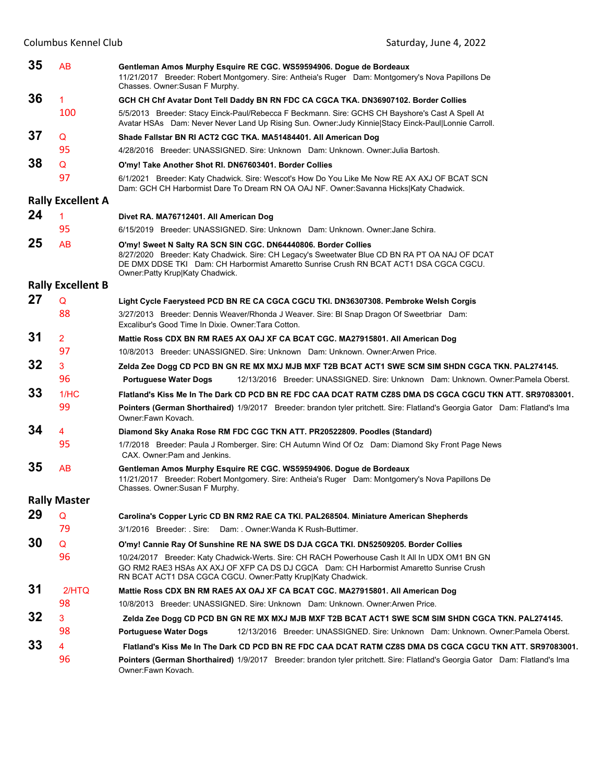| 35 | AB                       | Gentleman Amos Murphy Esquire RE CGC. WS59594906. Dogue de Bordeaux<br>11/21/2017 Breeder: Robert Montgomery. Sire: Antheia's Ruger Dam: Montgomery's Nova Papillons De<br>Chasses. Owner: Susan F Murphy.                                                                                    |
|----|--------------------------|-----------------------------------------------------------------------------------------------------------------------------------------------------------------------------------------------------------------------------------------------------------------------------------------------|
| 36 | 1                        | GCH CH Chf Avatar Dont Tell Daddy BN RN FDC CA CGCA TKA. DN36907102. Border Collies                                                                                                                                                                                                           |
|    | 100                      | 5/5/2013 Breeder: Stacy Einck-Paul/Rebecca F Beckmann. Sire: GCHS CH Bayshore's Cast A Spell At<br>Avatar HSAs Dam: Never Never Land Up Rising Sun. Owner: Judy Kinnie Stacy Einck-Paul Lonnie Carroll.                                                                                       |
| 37 | Q                        | Shade Fallstar BN RI ACT2 CGC TKA. MA51484401. All American Dog                                                                                                                                                                                                                               |
|    | 95                       | 4/28/2016 Breeder: UNASSIGNED, Sire: Unknown Dam: Unknown, Owner: Julia Bartosh,                                                                                                                                                                                                              |
| 38 | Q                        | O'my! Take Another Shot RI. DN67603401. Border Collies                                                                                                                                                                                                                                        |
|    | 97                       | 6/1/2021 Breeder: Katy Chadwick. Sire: Wescot's How Do You Like Me Now RE AX AXJ OF BCAT SCN<br>Dam: GCH CH Harbormist Dare To Dream RN OA OAJ NF. Owner:Savanna Hicks Katy Chadwick.                                                                                                         |
|    | <b>Rally Excellent A</b> |                                                                                                                                                                                                                                                                                               |
| 24 | 1                        | Divet RA. MA76712401. All American Dog                                                                                                                                                                                                                                                        |
|    | 95                       | 6/15/2019 Breeder: UNASSIGNED, Sire: Unknown Dam: Unknown, Owner: Jane Schira,                                                                                                                                                                                                                |
| 25 | AB                       | O'my! Sweet N Salty RA SCN SIN CGC. DN64440806. Border Collies<br>8/27/2020 Breeder: Katy Chadwick. Sire: CH Legacy's Sweetwater Blue CD BN RA PT OA NAJ OF DCAT<br>DE DMX DDSE TKI Dam: CH Harbormist Amaretto Sunrise Crush RN BCAT ACT1 DSA CGCA CGCU.<br>Owner: Patty Krup Katy Chadwick. |
|    | <b>Rally Excellent B</b> |                                                                                                                                                                                                                                                                                               |
| 27 | Q                        | Light Cycle Faerysteed PCD BN RE CA CGCA CGCU TKI. DN36307308. Pembroke Welsh Corgis                                                                                                                                                                                                          |
|    | 88                       | 3/27/2013 Breeder: Dennis Weaver/Rhonda J Weaver. Sire: BI Snap Dragon Of Sweetbriar Dam:<br>Excalibur's Good Time In Dixie, Owner: Tara Cotton,                                                                                                                                              |
| 31 | 2                        | Mattie Ross CDX BN RM RAE5 AX OAJ XF CA BCAT CGC. MA27915801. All American Dog                                                                                                                                                                                                                |
|    | 97                       | 10/8/2013 Breeder: UNASSIGNED. Sire: Unknown Dam: Unknown. Owner: Arwen Price.                                                                                                                                                                                                                |
| 32 | 3                        | Zelda Zee Dogg CD PCD BN GN RE MX MXJ MJB MXF T2B BCAT ACT1 SWE SCM SIM SHDN CGCA TKN. PAL274145.                                                                                                                                                                                             |
|    | 96                       | 12/13/2016 Breeder: UNASSIGNED. Sire: Unknown Dam: Unknown. Owner: Pamela Oberst.<br><b>Portuguese Water Dogs</b>                                                                                                                                                                             |
| 33 | 1/HC                     | Flatland's Kiss Me In The Dark CD PCD BN RE FDC CAA DCAT RATM CZ8S DMA DS CGCA CGCU TKN ATT. SR97083001.                                                                                                                                                                                      |
|    | 99                       | Pointers (German Shorthaired) 1/9/2017 Breeder: brandon tyler pritchett. Sire: Flatland's Georgia Gator Dam: Flatland's Ima<br>Owner:Fawn Kovach.                                                                                                                                             |
| 34 | 4                        | Diamond Sky Anaka Rose RM FDC CGC TKN ATT. PR20522809. Poodles (Standard)                                                                                                                                                                                                                     |
|    | 95                       | 1/7/2018 Breeder: Paula J Romberger. Sire: CH Autumn Wind Of Oz Dam: Diamond Sky Front Page News<br>CAX. Owner: Pam and Jenkins.                                                                                                                                                              |
| 35 | AB                       | Gentleman Amos Murphy Esquire RE CGC. WS59594906. Dogue de Bordeaux<br>11/21/2017 Breeder: Robert Montgomery. Sire: Antheia's Ruger Dam: Montgomery's Nova Papillons De<br>Chasses. Owner: Susan F Murphy.                                                                                    |
|    | <b>Rally Master</b>      |                                                                                                                                                                                                                                                                                               |
| 29 | Q                        | Carolina's Copper Lyric CD BN RM2 RAE CA TKI. PAL268504. Miniature American Shepherds                                                                                                                                                                                                         |
|    | 79                       | 3/1/2016 Breeder: Sire: Dam: Owner:Wanda K Rush-Buttimer.                                                                                                                                                                                                                                     |
| 30 | Q                        | O'my! Cannie Ray Of Sunshine RE NA SWE DS DJA CGCA TKI. DN52509205. Border Collies                                                                                                                                                                                                            |
|    | 96                       | 10/24/2017 Breeder: Katy Chadwick-Werts. Sire: CH RACH Powerhouse Cash It All In UDX OM1 BN GN<br>GO RM2 RAE3 HSAs AX AXJ OF XFP CA DS DJ CGCA Dam: CH Harbormist Amaretto Sunrise Crush<br>RN BCAT ACT1 DSA CGCA CGCU. Owner: Patty Krup Katy Chadwick.                                      |
| 31 | 2/HTQ                    | Mattie Ross CDX BN RM RAE5 AX OAJ XF CA BCAT CGC. MA27915801. All American Dog                                                                                                                                                                                                                |
|    | 98                       | 10/8/2013 Breeder: UNASSIGNED. Sire: Unknown Dam: Unknown. Owner: Arwen Price.                                                                                                                                                                                                                |
| 32 | 3                        | Zelda Zee Dogg CD PCD BN GN RE MX MXJ MJB MXF T2B BCAT ACT1 SWE SCM SIM SHDN CGCA TKN. PAL274145.                                                                                                                                                                                             |
|    | 98                       | 12/13/2016 Breeder: UNASSIGNED. Sire: Unknown Dam: Unknown. Owner: Pamela Oberst.<br><b>Portuguese Water Dogs</b>                                                                                                                                                                             |
| 33 | 4                        | Flatland's Kiss Me In The Dark CD PCD BN RE FDC CAA DCAT RATM CZ8S DMA DS CGCA CGCU TKN ATT. SR97083001.                                                                                                                                                                                      |
|    | 96                       | <b>Pointers (German Shorthaired)</b> 1/9/2017 Breeder: brandon tyler pritchett. Sire: Flatland's Georgia Gator Dam: Flatland's Ima<br>Owner:Fawn Kovach.                                                                                                                                      |